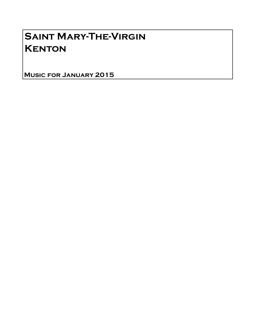## Saint Mary-The-Virgin **KENTON**

Music for January 2015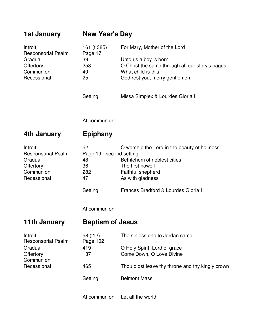| 1st January                                                                              | <b>New Year's Day</b>                                              |                                                                                                                                                                                 |
|------------------------------------------------------------------------------------------|--------------------------------------------------------------------|---------------------------------------------------------------------------------------------------------------------------------------------------------------------------------|
| Introit<br><b>Responsorial Psalm</b>                                                     | 161 (t 385)<br>Page 17                                             | For Mary, Mother of the Lord                                                                                                                                                    |
| Gradual<br>Offertory<br>Communion<br>Recessional                                         | 39<br>258<br>40<br>25                                              | Unto us a boy is born<br>O Christ the same through all our story's pages<br>What child is this<br>God rest you, merry gentlemen                                                 |
|                                                                                          | Setting                                                            | Missa Simplex & Lourdes Gloria I                                                                                                                                                |
|                                                                                          | At communion                                                       |                                                                                                                                                                                 |
| 4th January                                                                              | <b>Epiphany</b>                                                    |                                                                                                                                                                                 |
| Introit<br><b>Responsorial Psalm</b><br>Gradual<br>Offertory<br>Communion<br>Recessional | 52<br>Page 19 - second setting<br>48<br>36<br>282<br>47<br>Setting | O worship the Lord in the beauty of holiness<br>Bethlehem of noblest cities<br>The first nowell<br>Faithful shepherd<br>As with gladness<br>Frances Bradford & Lourdes Gloria I |
|                                                                                          | At communion                                                       |                                                                                                                                                                                 |
| 11th January                                                                             | <b>Baptism of Jesus</b>                                            |                                                                                                                                                                                 |
| Introit<br><b>Responsorial Psalm</b><br>Gradual<br>Offertory<br>Communion                | 58 (t12)<br>Page 102                                               | The sinless one to Jordan came                                                                                                                                                  |
|                                                                                          | 419<br>137                                                         | O Holy Spirit, Lord of grace<br>Come Down, O Love Divine                                                                                                                        |
| Recessional                                                                              | 465                                                                | Thou didst leave thy throne and thy kingly crown                                                                                                                                |
|                                                                                          | Setting                                                            | <b>Belmont Mass</b>                                                                                                                                                             |
|                                                                                          | At communion                                                       | Let all the world                                                                                                                                                               |